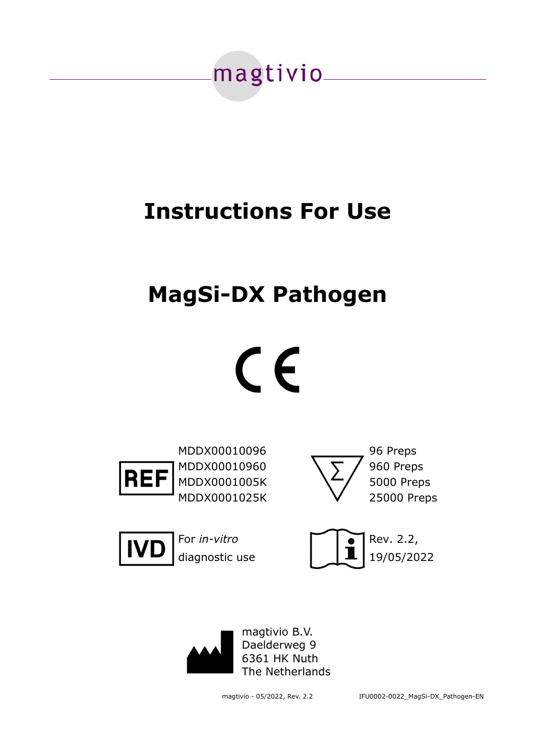

## **Instructions For Use**

## **MagSi-DX Pathogen**





MDDX00010096 96 Preps MDDX00010960  $\sqrt{5}$  / 960 Preps MDDX0001005K \/ 5000 Preps MDDX0001025K 25000 Preps





For *in-vitro* and **Property** Rev. 2.2, diagnostic use  $\begin{array}{|c|c|c|}\n\hline\n\text{d}}\n\end{array}$   $\begin{array}{|c|c|c|}\n\hline\n\text{d}}\n\end{array}$  19/05/2022





magtivio - 05/2022, Rev. 2.2 IFU0002-0022\_MagSi-DX\_Pathogen-EN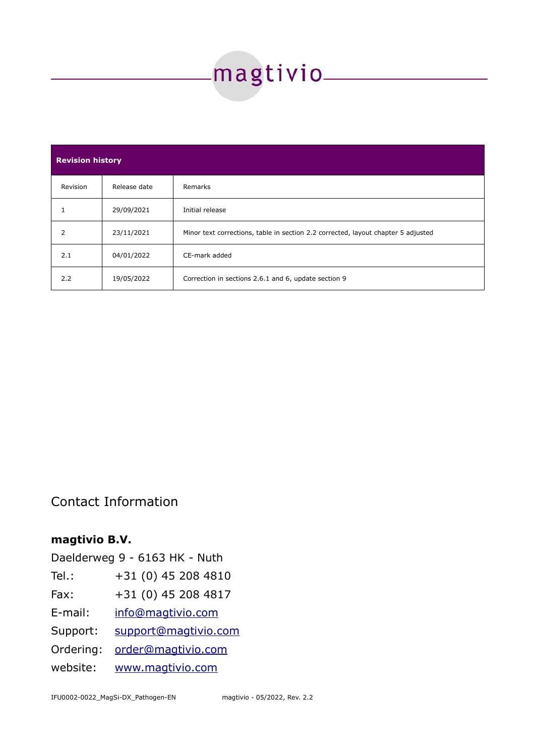# 

| <b>Revision history</b> |              |                                                                                   |  |
|-------------------------|--------------|-----------------------------------------------------------------------------------|--|
| Revision                | Release date | Remarks                                                                           |  |
|                         | 29/09/2021   | Initial release                                                                   |  |
| 2                       | 23/11/2021   | Minor text corrections, table in section 2.2 corrected, layout chapter 5 adjusted |  |
| 2.1                     | 04/01/2022   | CE-mark added                                                                     |  |
| 2.2                     | 19/05/2022   | Correction in sections 2.6.1 and 6, update section 9                              |  |

Contact Information

### **magtivio B.V.**

|           | Daelderweg 9 - 6163 HK - Nuth |
|-----------|-------------------------------|
| $Tel.$ :  | +31 (0) 45 208 4810           |
| Fax:      | +31 (0) 45 208 4817           |
| E-mail:   | info@magtivio.com             |
| Support:  | support@magtivio.com          |
| Ordering: | order@magtivio.com            |
| website:  | www.magtivio.com              |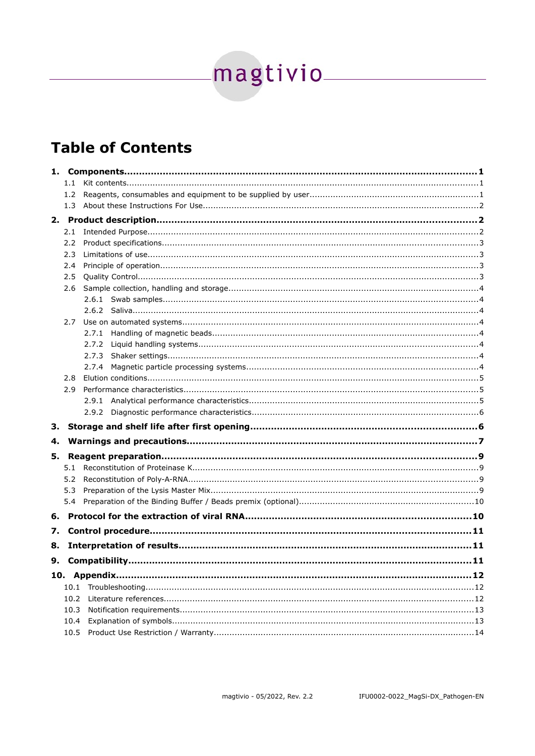# magtivio\_\_\_\_\_\_\_\_\_\_\_\_\_\_

## **Table of Contents**

|    | 1.1        |       |  |
|----|------------|-------|--|
|    | 1.2        |       |  |
|    | 1.3        |       |  |
|    |            |       |  |
|    | 2.1        |       |  |
|    | 2.2        |       |  |
|    | 2.3        |       |  |
|    | 2.4        |       |  |
|    | 2.5        |       |  |
|    | 2.6        |       |  |
|    |            |       |  |
|    |            |       |  |
|    | 2.7        |       |  |
|    |            | 2.7.1 |  |
|    |            | 2.7.2 |  |
|    |            | 2.7.3 |  |
|    |            | 2.7.4 |  |
|    | 2.8<br>2.9 |       |  |
|    |            |       |  |
|    |            |       |  |
|    |            |       |  |
| з. |            |       |  |
| 4. |            |       |  |
| 5. |            |       |  |
|    | 5.1        |       |  |
|    | 5.2        |       |  |
|    | 5.3        |       |  |
|    | 5.4        |       |  |
| 6. |            |       |  |
| 7. |            |       |  |
| 8. |            |       |  |
|    |            |       |  |
| 9. |            |       |  |
|    |            |       |  |
|    | 10.1       |       |  |
|    | 10.2       |       |  |
|    | 10.3       |       |  |
|    | 10.4       |       |  |
|    | 10.5       |       |  |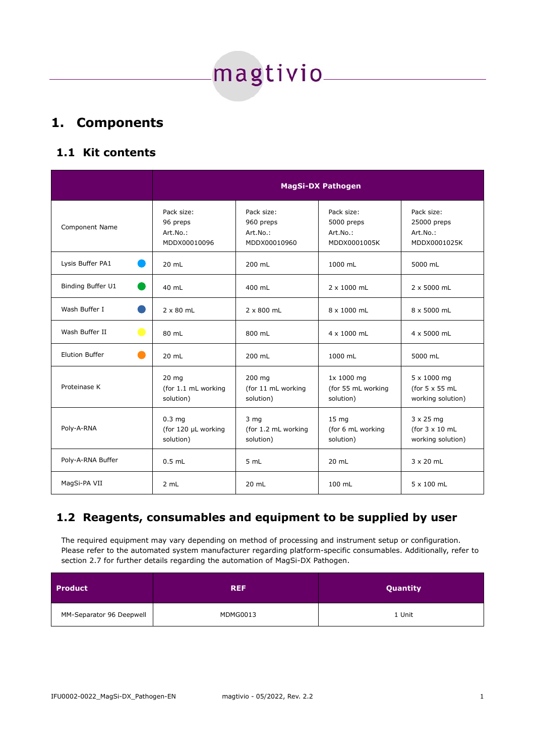magtivio\_\_\_\_

#### <span id="page-3-2"></span>**1. Components**

#### <span id="page-3-1"></span>**1.1 Kit contents**

|                                  | <b>MagSi-DX Pathogen</b>                              |                                                     |                                                      |                                                                |
|----------------------------------|-------------------------------------------------------|-----------------------------------------------------|------------------------------------------------------|----------------------------------------------------------------|
| Component Name                   | Pack size:<br>96 preps<br>Art.No.:<br>MDDX00010096    | Pack size:<br>960 preps<br>Art.No.:<br>MDDX00010960 | Pack size:<br>5000 preps<br>Art.No.:<br>MDDX0001005K | Pack size:<br>25000 preps<br>Art.No.:<br>MDDX0001025K          |
| Lysis Buffer PA1                 | 20 mL                                                 | 200 mL                                              | 1000 mL                                              | 5000 mL                                                        |
| Binding Buffer U1                | 40 mL                                                 | 400 mL                                              | 2 x 1000 mL                                          | 2 x 5000 mL                                                    |
| Wash Buffer I                    | $2 \times 80$ mL                                      | $2 \times 800$ mL                                   | 8 x 1000 mL                                          | 8 x 5000 mL                                                    |
| Wash Buffer II<br>$\blacksquare$ | 80 mL                                                 | 800 mL                                              | 4 x 1000 mL                                          | 4 x 5000 mL                                                    |
| <b>Elution Buffer</b>            | 20 mL                                                 | 200 mL                                              | 1000 mL                                              | 5000 mL                                                        |
| Proteinase K                     | 20 <sub>mg</sub><br>(for 1.1 mL working<br>solution)  | 200 mg<br>(for 11 mL working<br>solution)           | 1x 1000 mg<br>(for 55 mL working<br>solution)        | 5 x 1000 mg<br>(for $5 \times 55$ mL<br>working solution)      |
| Poly-A-RNA                       | 0.3 <sub>mg</sub><br>(for 120 µL working<br>solution) | 3 <sub>mg</sub><br>(for 1.2 mL working<br>solution) | 15 <sub>mg</sub><br>(for 6 mL working<br>solution)   | $3 \times 25$ mg<br>(for $3 \times 10$ mL<br>working solution) |
| Poly-A-RNA Buffer                | $0.5$ mL                                              | 5 mL                                                | 20 mL                                                | $3 \times 20$ mL                                               |
| MagSi-PA VII                     | 2 mL                                                  | 20 mL                                               | 100 mL                                               | 5 x 100 mL                                                     |

#### <span id="page-3-0"></span>**1.2 Reagents, consumables and equipment to be supplied by user**

The required equipment may vary depending on method of processing and instrument setup or configuration. Please refer to the automated system manufacturer regarding platform-specific consumables. Additionally, refer to section [2.7](#page-6-4) for further details regarding the automation of MagSi-DX Pathogen.

| <b>Product</b>           | <b>REF</b> | Quantity |
|--------------------------|------------|----------|
| MM-Separator 96 Deepwell | MDMG0013   | 1 Unit   |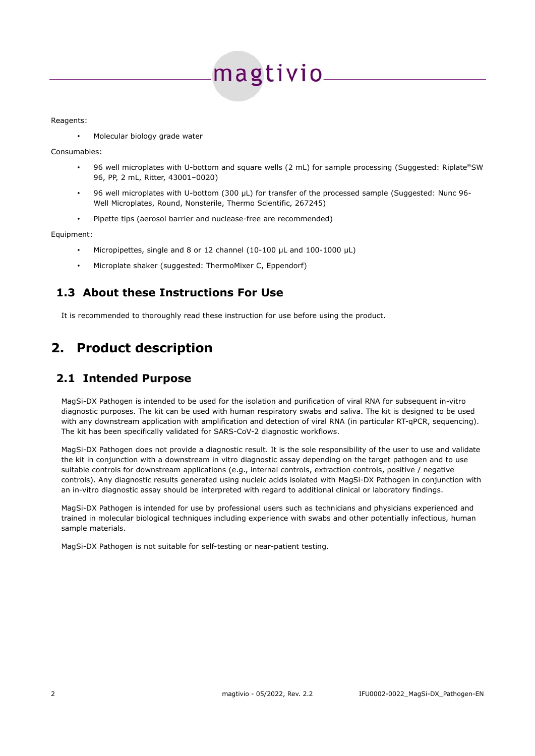# magtivio<sub>-</sub>

Reagents:

• Molecular biology grade water

Consumables:

- 96 well microplates with U-bottom and square wells (2 mL) for sample processing (Suggested: Riplate®SW 96, PP, 2 mL, Ritter, 43001–0020)
- 96 well microplates with U-bottom (300 µL) for transfer of the processed sample (Suggested: Nunc 96- Well Microplates, Round, Nonsterile, Thermo Scientific, 267245)
- Pipette tips (aerosol barrier and nuclease-free are recommended)

Equipment:

- Micropipettes, single and 8 or 12 channel (10-100 µL and 100-1000 µL)
- <span id="page-4-2"></span>• Microplate shaker (suggested: ThermoMixer C, Eppendorf)

#### **1.3 About these Instructions For Use**

It is recommended to thoroughly read these instruction for use before using the product.

## <span id="page-4-1"></span>**2. Product description**

#### <span id="page-4-0"></span>**2.1 Intended Purpose**

MagSi-DX Pathogen is intended to be used for the isolation and purification of viral RNA for subsequent in-vitro diagnostic purposes. The kit can be used with human respiratory swabs and saliva. The kit is designed to be used with any downstream application with amplification and detection of viral RNA (in particular RT-qPCR, sequencing). The kit has been specifically validated for SARS-CoV-2 diagnostic workflows.

MagSi-DX Pathogen does not provide a diagnostic result. It is the sole responsibility of the user to use and validate the kit in conjunction with a downstream in vitro diagnostic assay depending on the target pathogen and to use suitable controls for downstream applications (e.g., internal controls, extraction controls, positive / negative controls). Any diagnostic results generated using nucleic acids isolated with MagSi-DX Pathogen in conjunction with an in-vitro diagnostic assay should be interpreted with regard to additional clinical or laboratory findings.

MagSi-DX Pathogen is intended for use by professional users such as technicians and physicians experienced and trained in molecular biological techniques including experience with swabs and other potentially infectious, human sample materials.

MagSi-DX Pathogen is not suitable for self-testing or near-patient testing.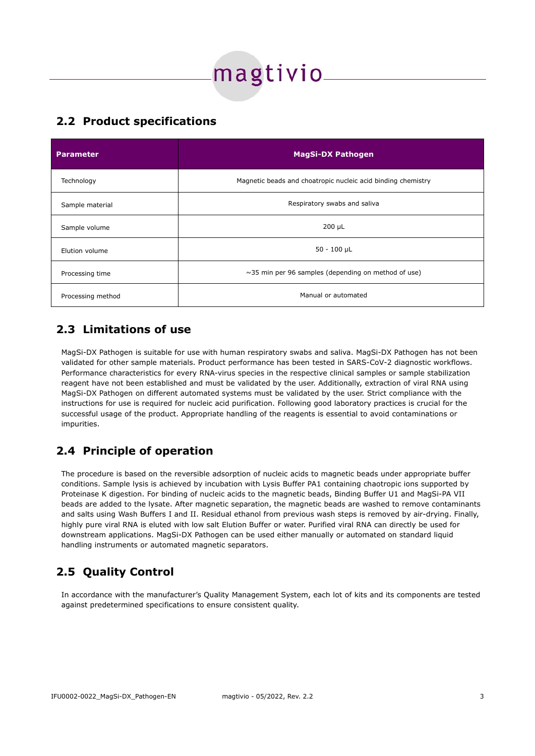# magtivio<sub>-</sub>

#### <span id="page-5-3"></span>**2.2 Product specifications**

| <b>Parameter</b>  | <b>MagSi-DX Pathogen</b>                                     |
|-------------------|--------------------------------------------------------------|
| Technology        | Magnetic beads and choatropic nucleic acid binding chemistry |
| Sample material   | Respiratory swabs and saliva                                 |
| Sample volume     | $200 \mu L$                                                  |
| Elution volume    | $50 - 100$ µL                                                |
| Processing time   | $\sim$ 35 min per 96 samples (depending on method of use)    |
| Processing method | Manual or automated                                          |

#### <span id="page-5-2"></span>**2.3 Limitations of use**

MagSi-DX Pathogen is suitable for use with human respiratory swabs and saliva. MagSi-DX Pathogen has not been validated for other sample materials. Product performance has been tested in SARS-CoV-2 diagnostic workflows. Performance characteristics for every RNA-virus species in the respective clinical samples or sample stabilization reagent have not been established and must be validated by the user. Additionally, extraction of viral RNA using MagSi-DX Pathogen on different automated systems must be validated by the user. Strict compliance with the instructions for use is required for nucleic acid purification. Following good laboratory practices is crucial for the successful usage of the product. Appropriate handling of the reagents is essential to avoid contaminations or impurities.

#### <span id="page-5-1"></span>**2.4 Principle of operation**

The procedure is based on the reversible adsorption of nucleic acids to magnetic beads under appropriate buffer conditions. Sample lysis is achieved by incubation with Lysis Buffer PA1 containing chaotropic ions supported by Proteinase K digestion. For binding of nucleic acids to the magnetic beads, Binding Buffer U1 and MagSi-PA VII beads are added to the lysate. After magnetic separation, the magnetic beads are washed to remove contaminants and salts using Wash Buffers I and II. Residual ethanol from previous wash steps is removed by air-drying. Finally, highly pure viral RNA is eluted with low salt Elution Buffer or water. Purified viral RNA can directly be used for downstream applications. MagSi-DX Pathogen can be used either manually or automated on standard liquid handling instruments or automated magnetic separators.

## <span id="page-5-0"></span>**2.5 Quality Control**

In accordance with the manufacturer's Quality Management System, each lot of kits and its components are tested against predetermined specifications to ensure consistent quality.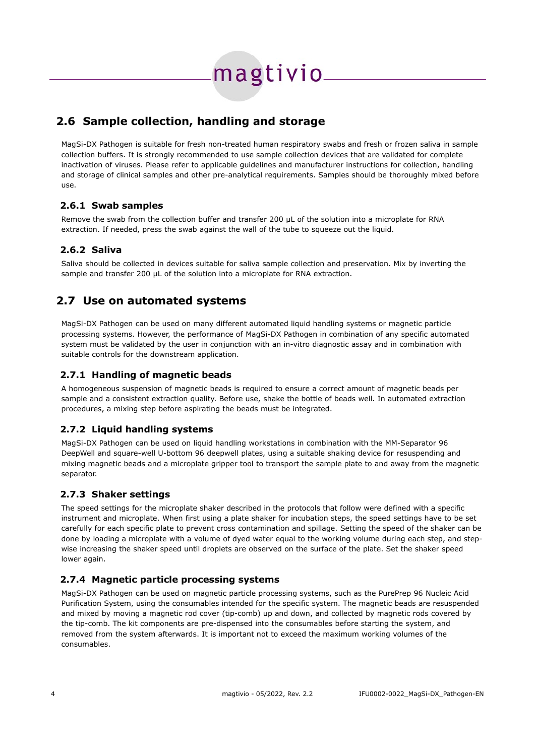magtivio

#### <span id="page-6-7"></span>**2.6 Sample collection, handling and storage**

MagSi-DX Pathogen is suitable for fresh non-treated human respiratory swabs and fresh or frozen saliva in sample collection buffers. It is strongly recommended to use sample collection devices that are validated for complete inactivation of viruses. Please refer to applicable guidelines and manufacturer instructions for collection, handling and storage of clinical samples and other pre-analytical requirements. Samples should be thoroughly mixed before use.

#### <span id="page-6-6"></span> **2.6.1 Swab samples**

Remove the swab from the collection buffer and transfer 200 µL of the solution into a microplate for RNA extraction. If needed, press the swab against the wall of the tube to squeeze out the liquid.

#### <span id="page-6-5"></span> **2.6.2 Saliva**

Saliva should be collected in devices suitable for saliva sample collection and preservation. Mix by inverting the sample and transfer 200  $\mu$ L of the solution into a microplate for RNA extraction.

#### <span id="page-6-4"></span>**2.7 Use on automated systems**

MagSi-DX Pathogen can be used on many different automated liquid handling systems or magnetic particle processing systems. However, the performance of MagSi-DX Pathogen in combination of any specific automated system must be validated by the user in conjunction with an in-vitro diagnostic assay and in combination with suitable controls for the downstream application.

#### <span id="page-6-3"></span> **2.7.1 Handling of magnetic beads**

A homogeneous suspension of magnetic beads is required to ensure a correct amount of magnetic beads per sample and a consistent extraction quality. Before use, shake the bottle of beads well. In automated extraction procedures, a mixing step before aspirating the beads must be integrated.

#### <span id="page-6-2"></span> **2.7.2 Liquid handling systems**

MagSi-DX Pathogen can be used on liquid handling workstations in combination with the MM-Separator 96 DeepWell and square-well U-bottom 96 deepwell plates, using a suitable shaking device for resuspending and mixing magnetic beads and a microplate gripper tool to transport the sample plate to and away from the magnetic separator.

#### <span id="page-6-1"></span> **2.7.3 Shaker settings**

The speed settings for the microplate shaker described in the protocols that follow were defined with a specific instrument and microplate. When first using a plate shaker for incubation steps, the speed settings have to be set carefully for each specific plate to prevent cross contamination and spillage. Setting the speed of the shaker can be done by loading a microplate with a volume of dyed water equal to the working volume during each step, and stepwise increasing the shaker speed until droplets are observed on the surface of the plate. Set the shaker speed lower again.

#### <span id="page-6-0"></span> **2.7.4 Magnetic particle processing systems**

MagSi-DX Pathogen can be used on magnetic particle processing systems, such as the PurePrep 96 Nucleic Acid Purification System, using the consumables intended for the specific system. The magnetic beads are resuspended and mixed by moving a magnetic rod cover (tip-comb) up and down, and collected by magnetic rods covered by the tip-comb. The kit components are pre-dispensed into the consumables before starting the system, and removed from the system afterwards. It is important not to exceed the maximum working volumes of the consumables.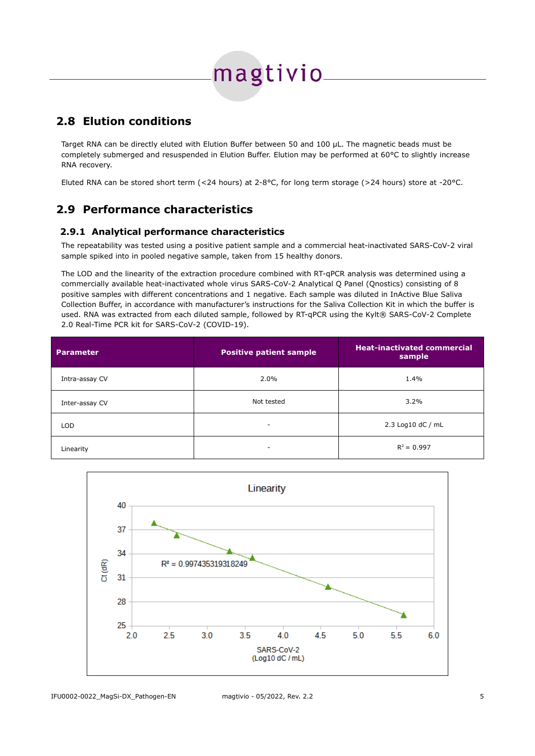## magtivio.

#### <span id="page-7-2"></span>**2.8 Elution conditions**

Target RNA can be directly eluted with Elution Buffer between 50 and 100 µL. The magnetic beads must be completely submerged and resuspended in Elution Buffer. Elution may be performed at 60°C to slightly increase RNA recovery.

Eluted RNA can be stored short term (<24 hours) at 2-8°C, for long term storage (>24 hours) store at -20°C.

#### <span id="page-7-1"></span>**2.9 Performance characteristics**

#### <span id="page-7-0"></span> **2.9.1 Analytical performance characteristics**

The repeatability was tested using a positive patient sample and a commercial heat-inactivated SARS-CoV-2 viral sample spiked into in pooled negative sample, taken from 15 healthy donors.

The LOD and the linearity of the extraction procedure combined with RT-qPCR analysis was determined using a commercially available heat-inactivated whole virus SARS-CoV-2 Analytical Q Panel (Qnostics) consisting of 8 positive samples with different concentrations and 1 negative. Each sample was diluted in InActive Blue Saliva Collection Buffer, in accordance with manufacturer's instructions for the Saliva Collection Kit in which the buffer is used. RNA was extracted from each diluted sample, followed by RT-qPCR using the Kylt® SARS-CoV-2 Complete 2.0 Real-Time PCR kit for SARS-CoV-2 (COVID-19).

| <b>Parameter</b> | <b>Positive patient sample</b> | <b>Heat-inactivated commercial</b><br>sample |
|------------------|--------------------------------|----------------------------------------------|
| Intra-assay CV   | 2.0%                           | 1.4%                                         |
| Inter-assay CV   | Not tested                     | $3.2\%$                                      |
| <b>LOD</b>       | -                              | 2.3 Log10 dC / mL                            |
| Linearity        | $\overline{\phantom{a}}$       | $R^2 = 0.997$                                |

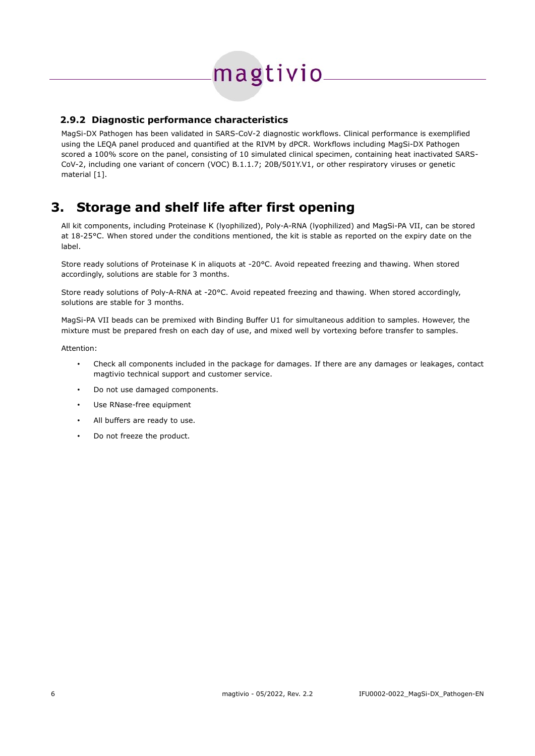# magtivio

#### <span id="page-8-1"></span> **2.9.2 Diagnostic performance characteristics**

MagSi-DX Pathogen has been validated in SARS-CoV-2 diagnostic workflows. Clinical performance is exemplified using the LEQA panel produced and quantified at the RIVM by dPCR. Workflows including MagSi-DX Pathogen scored a 100% score on the panel, consisting of 10 simulated clinical specimen, containing heat inactivated SARS-CoV-2, including one variant of concern (VOC) B.1.1.7; 20B/501Y.V1, or other respiratory viruses or genetic material [1].

### <span id="page-8-0"></span>**3. Storage and shelf life after first opening**

All kit components, including Proteinase K (lyophilized), Poly-A-RNA (lyophilized) and MagSi-PA VII, can be stored at 18-25°C. When stored under the conditions mentioned, the kit is stable as reported on the expiry date on the label.

Store ready solutions of Proteinase K in aliquots at -20°C. Avoid repeated freezing and thawing. When stored accordingly, solutions are stable for 3 months.

Store ready solutions of Poly-A-RNA at -20°C. Avoid repeated freezing and thawing. When stored accordingly, solutions are stable for 3 months.

MagSi-PA VII beads can be premixed with Binding Buffer U1 for simultaneous addition to samples. However, the mixture must be prepared fresh on each day of use, and mixed well by vortexing before transfer to samples.

Attention:

- Check all components included in the package for damages. If there are any damages or leakages, contact magtivio technical support and customer service.
- Do not use damaged components.
- Use RNase-free equipment
- All buffers are ready to use.
- Do not freeze the product.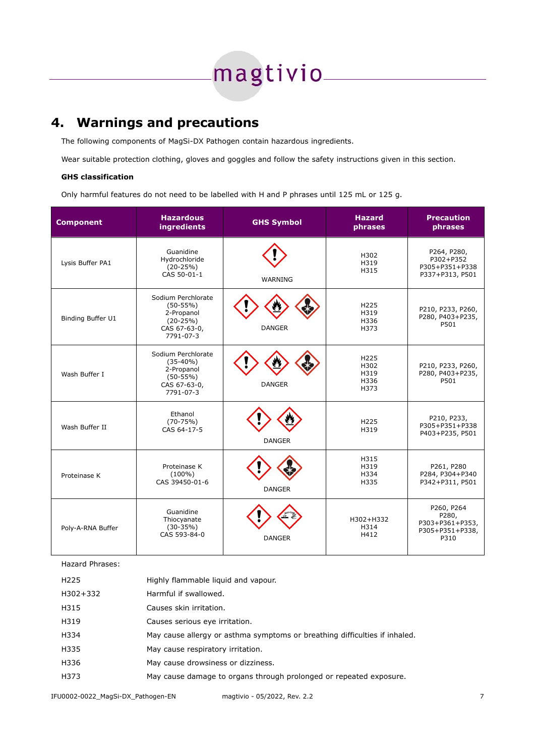# 

## <span id="page-9-0"></span>**4. Warnings and precautions**

The following components of MagSi-DX Pathogen contain hazardous ingredients.

Wear suitable protection clothing, gloves and goggles and follow the safety instructions given in this section.

#### **GHS classification**

Only harmful features do not need to be labelled with H and P phrases until 125 mL or 125 g.

| <b>Component</b>  | <b>Hazardous</b><br><b>ingredients</b>                                                    | <b>GHS Symbol</b> | <b>Hazard</b><br>phrases                         | <b>Precaution</b><br>phrases                                      |
|-------------------|-------------------------------------------------------------------------------------------|-------------------|--------------------------------------------------|-------------------------------------------------------------------|
| Lysis Buffer PA1  | Guanidine<br>Hydrochloride<br>$(20-25%)$<br>CAS 50-01-1                                   | <b>WARNING</b>    | H302<br>H319<br>H315                             | P264, P280,<br>P302+P352<br>P305+P351+P338<br>P337+P313, P501     |
| Binding Buffer U1 | Sodium Perchlorate<br>$(50-55%)$<br>2-Propanol<br>$(20-25%)$<br>CAS 67-63-0,<br>7791-07-3 | <b>DANGER</b>     | H225<br>H319<br>H336<br>H373                     | P210, P233, P260,<br>P280, P403+P235,<br>P501                     |
| Wash Buffer I     | Sodium Perchlorate<br>$(35-40%)$<br>2-Propanol<br>$(50-55%)$<br>CAS 67-63-0,<br>7791-07-3 | <b>DANGER</b>     | H <sub>225</sub><br>H302<br>H319<br>H336<br>H373 | P210, P233, P260,<br>P280, P403+P235,<br>P501                     |
| Wash Buffer II    | Ethanol<br>$(70-75%)$<br>CAS 64-17-5                                                      | <b>DANGER</b>     | H225<br>H319                                     | P210, P233,<br>P305+P351+P338<br>P403+P235, P501                  |
| Proteinase K      | Proteinase K<br>$(100\%)$<br>CAS 39450-01-6                                               | <b>DANGER</b>     | H315<br>H319<br>H334<br>H335                     | P261, P280<br>P284, P304+P340<br>P342+P311, P501                  |
| Poly-A-RNA Buffer | Guanidine<br>Thiocyanate<br>$(30-35%)$<br>CAS 593-84-0                                    | <b>DANGER</b>     | H302+H332<br>H314<br>H412                        | P260, P264<br>P280,<br>P303+P361+P353,<br>P305+P351+P338,<br>P310 |

Hazard Phrases:

| H <sub>225</sub> | Highly flammable liquid and vapour.                                        |
|------------------|----------------------------------------------------------------------------|
| H302+332         | Harmful if swallowed.                                                      |
| H315             | Causes skin irritation.                                                    |
| H319             | Causes serious eye irritation.                                             |
| H334             | May cause allergy or asthma symptoms or breathing difficulties if inhaled. |
| H335             | May cause respiratory irritation.                                          |
| H336             | May cause drowsiness or dizziness.                                         |
| H373             | May cause damage to organs through prolonged or repeated exposure.         |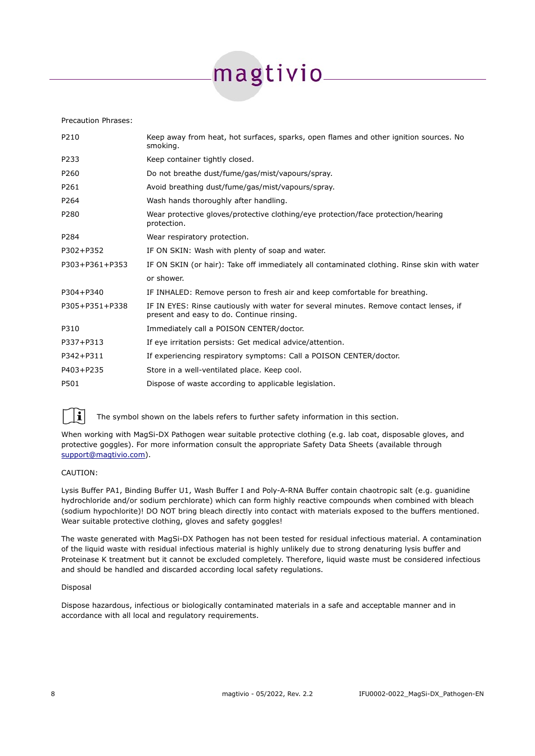# magtivio-

#### Precaution Phrases:

| P210           | Keep away from heat, hot surfaces, sparks, open flames and other ignition sources. No<br>smoking.                                   |
|----------------|-------------------------------------------------------------------------------------------------------------------------------------|
| P233           | Keep container tightly closed.                                                                                                      |
| P260           | Do not breathe dust/fume/gas/mist/vapours/spray.                                                                                    |
| P261           | Avoid breathing dust/fume/gas/mist/vapours/spray.                                                                                   |
| P264           | Wash hands thoroughly after handling.                                                                                               |
| P280           | Wear protective gloves/protective clothing/eye protection/face protection/hearing<br>protection.                                    |
| P284           | Wear respiratory protection.                                                                                                        |
| P302+P352      | IF ON SKIN: Wash with plenty of soap and water.                                                                                     |
| P303+P361+P353 | IF ON SKIN (or hair): Take off immediately all contaminated clothing. Rinse skin with water                                         |
|                | or shower.                                                                                                                          |
| P304+P340      | IF INHALED: Remove person to fresh air and keep comfortable for breathing.                                                          |
| P305+P351+P338 | IF IN EYES: Rinse cautiously with water for several minutes. Remove contact lenses, if<br>present and easy to do. Continue rinsing. |
| P310           | Immediately call a POISON CENTER/doctor.                                                                                            |
| P337+P313      | If eye irritation persists: Get medical advice/attention.                                                                           |
| P342+P311      | If experiencing respiratory symptoms: Call a POISON CENTER/doctor.                                                                  |
| P403+P235      | Store in a well-ventilated place. Keep cool.                                                                                        |
| P501           | Dispose of waste according to applicable legislation.                                                                               |
|                |                                                                                                                                     |



The symbol shown on the labels refers to further safety information in this section.

When working with MagSi-DX Pathogen wear suitable protective clothing (e.g. lab coat, disposable gloves, and protective goggles). For more information consult the appropriate Safety Data Sheets (available through [support@magtivio.com](mailto:support@magtivio.com)).

#### CAUTION:

Lysis Buffer PA1, Binding Buffer U1, Wash Buffer I and Poly-A-RNA Buffer contain chaotropic salt (e.g. guanidine hydrochloride and/or sodium perchlorate) which can form highly reactive compounds when combined with bleach (sodium hypochlorite)! DO NOT bring bleach directly into contact with materials exposed to the buffers mentioned. Wear suitable protective clothing, gloves and safety goggles!

The waste generated with MagSi-DX Pathogen has not been tested for residual infectious material. A contamination of the liquid waste with residual infectious material is highly unlikely due to strong denaturing lysis buffer and Proteinase K treatment but it cannot be excluded completely. Therefore, liquid waste must be considered infectious and should be handled and discarded according local safety regulations.

#### Disposal

Dispose hazardous, infectious or biologically contaminated materials in a safe and acceptable manner and in accordance with all local and regulatory requirements.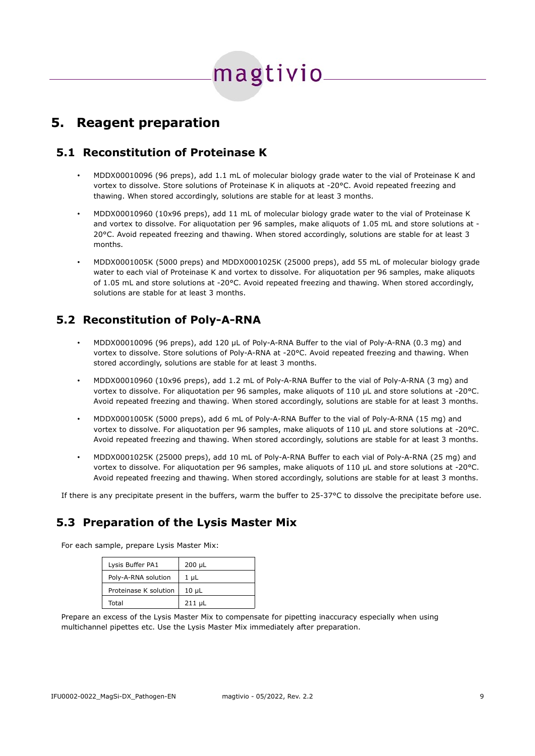## magtivio<sub>-</sub>

### <span id="page-11-3"></span>**5. Reagent preparation**

#### **5.1 Reconstitution of Proteinase K**

- <span id="page-11-0"></span>• MDDX00010096 (96 preps), add 1.1 mL of molecular biology grade water to the vial of Proteinase K and vortex to dissolve. Store solutions of Proteinase K in aliquots at -20°C. Avoid repeated freezing and thawing. When stored accordingly, solutions are stable for at least 3 months.
- MDDX00010960 (10x96 preps), add 11 mL of molecular biology grade water to the vial of Proteinase K and vortex to dissolve. For aliquotation per 96 samples, make aliquots of 1.05 mL and store solutions at -20°C. Avoid repeated freezing and thawing. When stored accordingly, solutions are stable for at least 3 months.
- MDDX0001005K (5000 preps) and MDDX0001025K (25000 preps), add 55 mL of molecular biology grade water to each vial of Proteinase K and vortex to dissolve. For aliquotation per 96 samples, make aliquots of 1.05 mL and store solutions at -20°C. Avoid repeated freezing and thawing. When stored accordingly, solutions are stable for at least 3 months.

#### **5.2 Reconstitution of Poly-A-RNA**

- <span id="page-11-2"></span>• MDDX00010096 (96 preps), add 120 µL of Poly-A-RNA Buffer to the vial of Poly-A-RNA (0.3 mg) and vortex to dissolve. Store solutions of Poly-A-RNA at -20°C. Avoid repeated freezing and thawing. When stored accordingly, solutions are stable for at least 3 months.
- MDDX00010960 (10x96 preps), add 1.2 mL of Poly-A-RNA Buffer to the vial of Poly-A-RNA (3 mg) and vortex to dissolve. For aliquotation per 96 samples, make aliquots of 110 µL and store solutions at -20°C. Avoid repeated freezing and thawing. When stored accordingly, solutions are stable for at least 3 months.
- MDDX0001005K (5000 preps), add 6 mL of Poly-A-RNA Buffer to the vial of Poly-A-RNA (15 mg) and vortex to dissolve. For aliquotation per 96 samples, make aliquots of 110 µL and store solutions at -20°C. Avoid repeated freezing and thawing. When stored accordingly, solutions are stable for at least 3 months.
- MDDX0001025K (25000 preps), add 10 mL of Poly-A-RNA Buffer to each vial of Poly-A-RNA (25 mg) and vortex to dissolve. For aliquotation per 96 samples, make aliquots of 110 µL and store solutions at -20°C. Avoid repeated freezing and thawing. When stored accordingly, solutions are stable for at least 3 months.

If there is any precipitate present in the buffers, warm the buffer to 25-37°C to dissolve the precipitate before use.

#### <span id="page-11-1"></span>**5.3 Preparation of the Lysis Master Mix**

For each sample, prepare Lysis Master Mix:

| Lysis Buffer PA1      | $200 \mu L$ |
|-----------------------|-------------|
| Poly-A-RNA solution   | $1 \mu L$   |
| Proteinase K solution | $10 \mu L$  |
| Total                 | $211 \mu L$ |

Prepare an excess of the Lysis Master Mix to compensate for pipetting inaccuracy especially when using multichannel pipettes etc. Use the Lysis Master Mix immediately after preparation.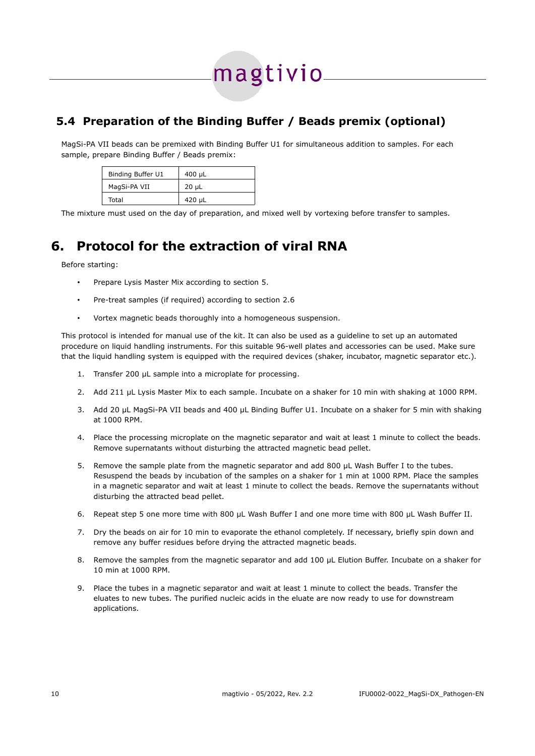## magtivio-

#### <span id="page-12-1"></span>**5.4 Preparation of the Binding Buffer / Beads premix (optional)**

MagSi-PA VII beads can be premixed with Binding Buffer U1 for simultaneous addition to samples. For each sample, prepare Binding Buffer / Beads premix:

| Binding Buffer U1 | $400 \mu L$ |
|-------------------|-------------|
| MagSi-PA VII      | $20 \mu L$  |
| Total             | $420 \mu L$ |

The mixture must used on the day of preparation, and mixed well by vortexing before transfer to samples.

## <span id="page-12-0"></span>**6. Protocol for the extraction of viral RNA**

Before starting:

- Prepare Lysis Master Mix according to section [5](#page-11-3).
- Pre-treat samples (if required) according to section [2.6](#page-6-7)
- Vortex magnetic beads thoroughly into a homogeneous suspension.

This protocol is intended for manual use of the kit. It can also be used as a guideline to set up an automated procedure on liquid handling instruments. For this suitable 96-well plates and accessories can be used. Make sure that the liquid handling system is equipped with the required devices (shaker, incubator, magnetic separator etc.).

- 1. Transfer 200 μL sample into a microplate for processing.
- 2. Add 211 µL Lysis Master Mix to each sample. Incubate on a shaker for 10 min with shaking at 1000 RPM.
- 3. Add 20 µL MagSi-PA VII beads and 400 µL Binding Buffer U1. Incubate on a shaker for 5 min with shaking at 1000 RPM.
- 4. Place the processing microplate on the magnetic separator and wait at least 1 minute to collect the beads. Remove supernatants without disturbing the attracted magnetic bead pellet.
- 5. Remove the sample plate from the magnetic separator and add 800 µL Wash Buffer I to the tubes. Resuspend the beads by incubation of the samples on a shaker for 1 min at 1000 RPM. Place the samples in a magnetic separator and wait at least 1 minute to collect the beads. Remove the supernatants without disturbing the attracted bead pellet.
- 6. Repeat step 5 one more time with 800 µL Wash Buffer I and one more time with 800 µL Wash Buffer II.
- 7. Dry the beads on air for 10 min to evaporate the ethanol completely. If necessary, briefly spin down and remove any buffer residues before drying the attracted magnetic beads.
- 8. Remove the samples from the magnetic separator and add 100 µL Elution Buffer. Incubate on a shaker for 10 min at 1000 RPM.
- 9. Place the tubes in a magnetic separator and wait at least 1 minute to collect the beads. Transfer the eluates to new tubes. The purified nucleic acids in the eluate are now ready to use for downstream applications.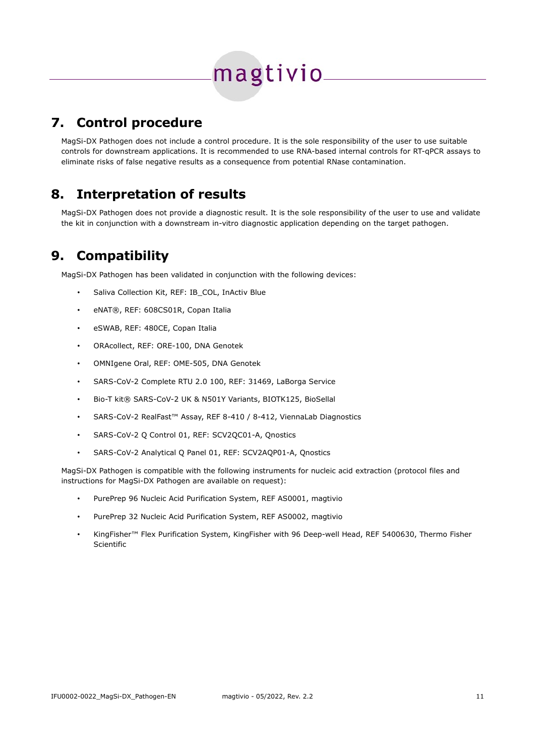## magtivio\_

## <span id="page-13-2"></span>**7. Control procedure**

MagSi-DX Pathogen does not include a control procedure. It is the sole responsibility of the user to use suitable controls for downstream applications. It is recommended to use RNA-based internal controls for RT-qPCR assays to eliminate risks of false negative results as a consequence from potential RNase contamination.

## <span id="page-13-1"></span>**8. Interpretation of results**

MagSi-DX Pathogen does not provide a diagnostic result. It is the sole responsibility of the user to use and validate the kit in conjunction with a downstream in-vitro diagnostic application depending on the target pathogen.

## <span id="page-13-0"></span>**9. Compatibility**

MagSi-DX Pathogen has been validated in conjunction with the following devices:

- Saliva Collection Kit, REF: IB\_COL, InActiv Blue
- eNAT®, REF: 608CS01R, Copan Italia
- eSWAB, REF: 480CE, Copan Italia
- ORAcollect, REF: ORE-100, DNA Genotek
- OMNIgene Oral, REF: OME-505, DNA Genotek
- SARS-CoV-2 Complete RTU 2.0 100, REF: 31469, LaBorga Service
- Bio-T kit® SARS-CoV-2 UK & N501Y Variants, BIOTK125, BioSellal
- SARS-CoV-2 RealFast™ Assay, REF 8-410 / 8-412, ViennaLab Diagnostics
- SARS-CoV-2 Q Control 01, REF: SCV2QC01-A, Qnostics
- SARS-CoV-2 Analytical Q Panel 01, REF: SCV2AQP01-A, Qnostics

MagSi-DX Pathogen is compatible with the following instruments for nucleic acid extraction (protocol files and instructions for MagSi-DX Pathogen are available on request):

- PurePrep 96 Nucleic Acid Purification System, REF AS0001, magtivio
- PurePrep 32 Nucleic Acid Purification System, REF AS0002, magtivio
- KingFisher™ Flex Purification System, KingFisher with 96 Deep-well Head, REF 5400630, Thermo Fisher Scientific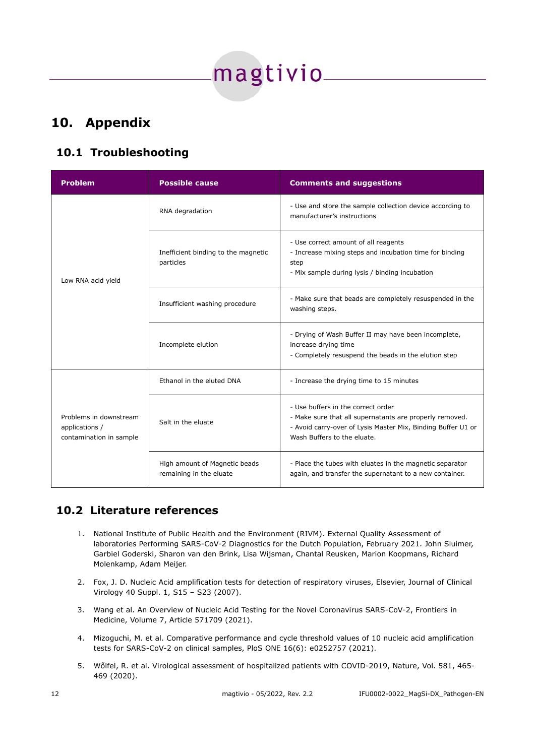

## <span id="page-14-2"></span>**10. Appendix**

#### <span id="page-14-1"></span>**10.1 Troubleshooting**

| <b>Problem</b>                                                      | <b>Possible cause</b>                                    | <b>Comments and suggestions</b>                                                                                                                                                              |
|---------------------------------------------------------------------|----------------------------------------------------------|----------------------------------------------------------------------------------------------------------------------------------------------------------------------------------------------|
| Low RNA acid yield                                                  | RNA degradation                                          | - Use and store the sample collection device according to<br>manufacturer's instructions                                                                                                     |
|                                                                     | Inefficient binding to the magnetic<br>particles         | - Use correct amount of all reagents<br>- Increase mixing steps and incubation time for binding<br>step<br>- Mix sample during lysis / binding incubation                                    |
|                                                                     | Insufficient washing procedure                           | - Make sure that beads are completely resuspended in the<br>washing steps.                                                                                                                   |
|                                                                     | Incomplete elution                                       | - Drying of Wash Buffer II may have been incomplete,<br>increase drying time<br>- Completely resuspend the beads in the elution step                                                         |
| Problems in downstream<br>applications /<br>contamination in sample | Ethanol in the eluted DNA                                | - Increase the drying time to 15 minutes                                                                                                                                                     |
|                                                                     | Salt in the eluate                                       | - Use buffers in the correct order<br>- Make sure that all supernatants are properly removed.<br>- Avoid carry-over of Lysis Master Mix, Binding Buffer U1 or<br>Wash Buffers to the eluate. |
|                                                                     | High amount of Magnetic beads<br>remaining in the eluate | - Place the tubes with eluates in the magnetic separator<br>again, and transfer the supernatant to a new container.                                                                          |

#### **10.2 Literature references**

- <span id="page-14-0"></span>1. National Institute of Public Health and the Environment (RIVM). External Quality Assessment of laboratories Performing SARS-CoV-2 Diagnostics for the Dutch Population, February 2021. John Sluimer, Garbiel Goderski, Sharon van den Brink, Lisa Wijsman, Chantal Reusken, Marion Koopmans, Richard Molenkamp, Adam Meijer.
- 2. Fox, J. D. Nucleic Acid amplification tests for detection of respiratory viruses, Elsevier, Journal of Clinical Virology 40 Suppl. 1, S15 – S23 (2007).
- 3. Wang et al. An Overview of Nucleic Acid Testing for the Novel Coronavirus SARS-CoV-2, Frontiers in Medicine, Volume 7, Article 571709 (2021).
- 4. Mizoguchi, M. et al. Comparative performance and cycle threshold values of 10 nucleic acid amplification tests for SARS-CoV-2 on clinical samples, PloS ONE 16(6): e0252757 (2021).
- 5. Wőlfel, R. et al. Virological assessment of hospitalized patients with COVID-2019, Nature, Vol. 581, 465- 469 (2020).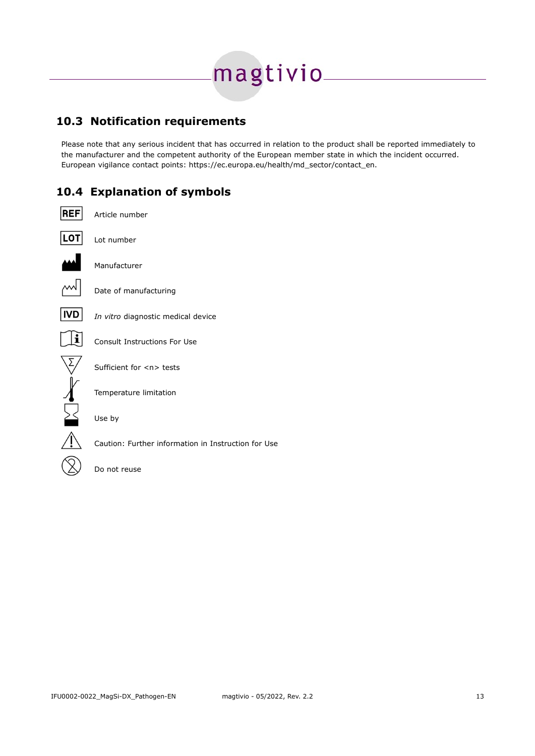# magtivio\_\_\_

#### <span id="page-15-1"></span>**10.3 Notification requirements**

Please note that any serious incident that has occurred in relation to the product shall be reported immediately to the manufacturer and the competent authority of the European member state in which the incident occurred. European vigilance contact points: https://ec.europa.eu/health/md\_sector/contact\_en.

#### <span id="page-15-0"></span>**10.4 Explanation of symbols**

| <b>REF</b> | Article number                                      |
|------------|-----------------------------------------------------|
| LOT        | Lot number                                          |
|            | Manufacturer                                        |
|            | Date of manufacturing                               |
|            | In vitro diagnostic medical device                  |
|            | Consult Instructions For Use                        |
|            | Sufficient for <n> tests</n>                        |
|            | Temperature limitation                              |
|            | Use by                                              |
|            | Caution: Further information in Instruction for Use |

Do not reuse